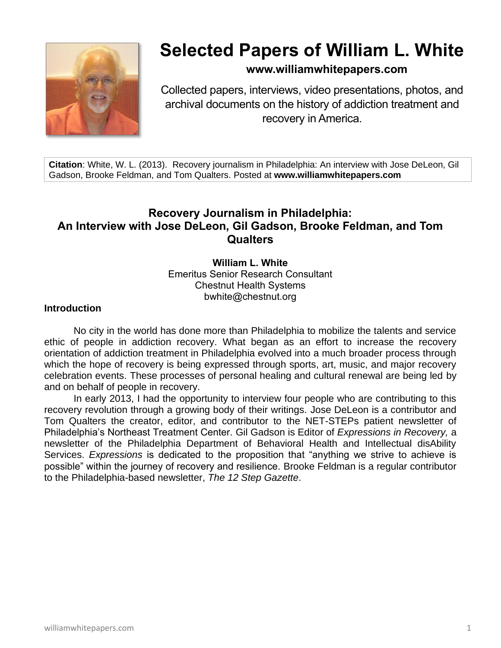

# **Selected Papers of William L. White**

# **www.williamwhitepapers.com**

Collected papers, interviews, video presentations, photos, and archival documents on the history of addiction treatment and recovery in America.

**Citation**: White, W. L. (2013). Recovery journalism in Philadelphia: An interview with Jose DeLeon, Gil Gadson, Brooke Feldman, and Tom Qualters. Posted at **www.williamwhitepapers.com**

# **Recovery Journalism in Philadelphia: An Interview with Jose DeLeon, Gil Gadson, Brooke Feldman, and Tom Qualters**

**William L. White** Emeritus Senior Research Consultant Chestnut Health Systems bwhite@chestnut.org

#### **Introduction**

No city in the world has done more than Philadelphia to mobilize the talents and service ethic of people in addiction recovery. What began as an effort to increase the recovery orientation of addiction treatment in Philadelphia evolved into a much broader process through which the hope of recovery is being expressed through sports, art, music, and major recovery celebration events. These processes of personal healing and cultural renewal are being led by and on behalf of people in recovery.

In early 2013, I had the opportunity to interview four people who are contributing to this recovery revolution through a growing body of their writings. Jose DeLeon is a contributor and Tom Qualters the creator, editor, and contributor to the NET-STEPs patient newsletter of Philadelphia's Northeast Treatment Center. Gil Gadson is Editor of *Expressions in Recovery,* a newsletter of the Philadelphia Department of Behavioral Health and Intellectual disAbility Services. *Expressions* is dedicated to the proposition that "anything we strive to achieve is possible" within the journey of recovery and resilience. Brooke Feldman is a regular contributor to the Philadelphia-based newsletter, *The 12 Step Gazette*.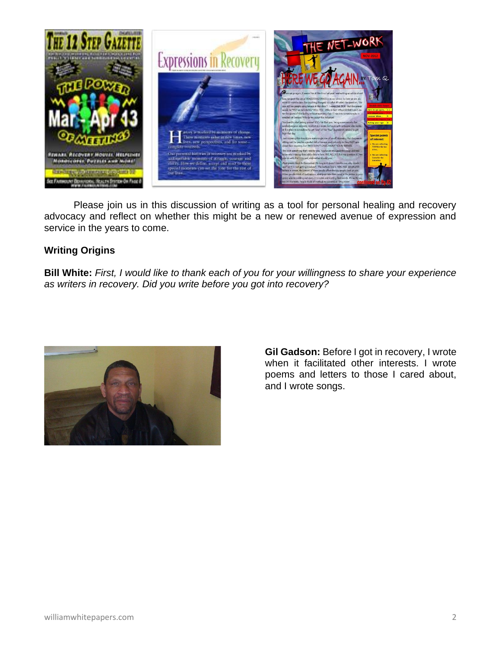

Please join us in this discussion of writing as a tool for personal healing and recovery advocacy and reflect on whether this might be a new or renewed avenue of expression and service in the years to come.

## **Writing Origins**

**Bill White:** *First, I would like to thank each of you for your willingness to share your experience as writers in recovery. Did you write before you got into recovery?*



**Gil Gadson:** Before I got in recovery, I wrote when it facilitated other interests. I wrote poems and letters to those I cared about, and I wrote songs.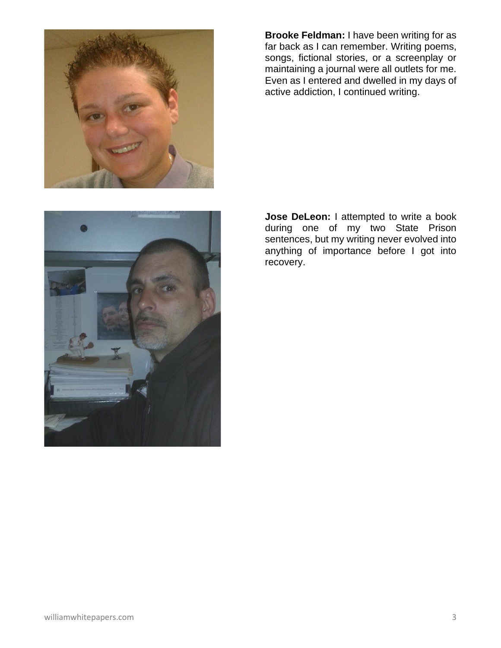

**Brooke Feldman:** I have been writing for as far back as I can remember. Writing poems, songs, fictional stories, or a screenplay or maintaining a journal were all outlets for me. Even as I entered and dwelled in my days of active addiction, I continued writing.



**Jose DeLeon:** I attempted to write a book during one of my two State Prison sentences, but my writing never evolved into anything of importance before I got into recovery.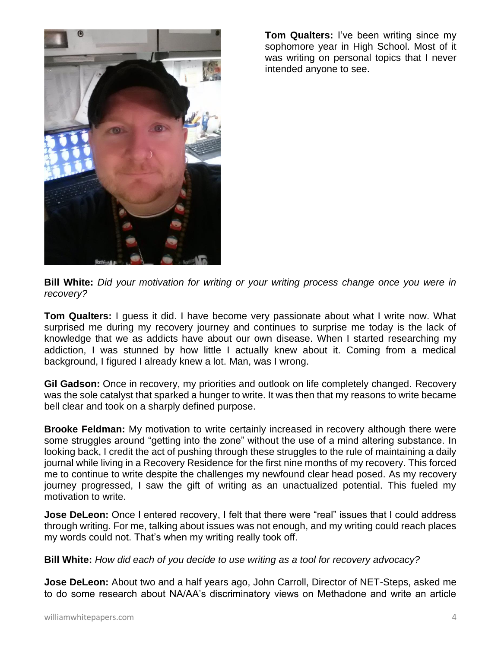

**Tom Qualters:** I've been writing since my sophomore year in High School. Most of it was writing on personal topics that I never intended anyone to see.

**Bill White:** *Did your motivation for writing or your writing process change once you were in recovery?*

**Tom Qualters:** I guess it did. I have become very passionate about what I write now. What surprised me during my recovery journey and continues to surprise me today is the lack of knowledge that we as addicts have about our own disease. When I started researching my addiction, I was stunned by how little I actually knew about it. Coming from a medical background, I figured I already knew a lot. Man, was I wrong.

**Gil Gadson:** Once in recovery, my priorities and outlook on life completely changed. Recovery was the sole catalyst that sparked a hunger to write. It was then that my reasons to write became bell clear and took on a sharply defined purpose.

**Brooke Feldman:** My motivation to write certainly increased in recovery although there were some struggles around "getting into the zone" without the use of a mind altering substance. In looking back, I credit the act of pushing through these struggles to the rule of maintaining a daily journal while living in a Recovery Residence for the first nine months of my recovery. This forced me to continue to write despite the challenges my newfound clear head posed. As my recovery journey progressed, I saw the gift of writing as an unactualized potential. This fueled my motivation to write.

**Jose DeLeon:** Once I entered recovery, I felt that there were "real" issues that I could address through writing. For me, talking about issues was not enough, and my writing could reach places my words could not. That's when my writing really took off.

**Bill White:** *How did each of you decide to use writing as a tool for recovery advocacy?*

**Jose DeLeon:** About two and a half years ago, John Carroll, Director of NET-Steps, asked me to do some research about NA/AA's discriminatory views on Methadone and write an article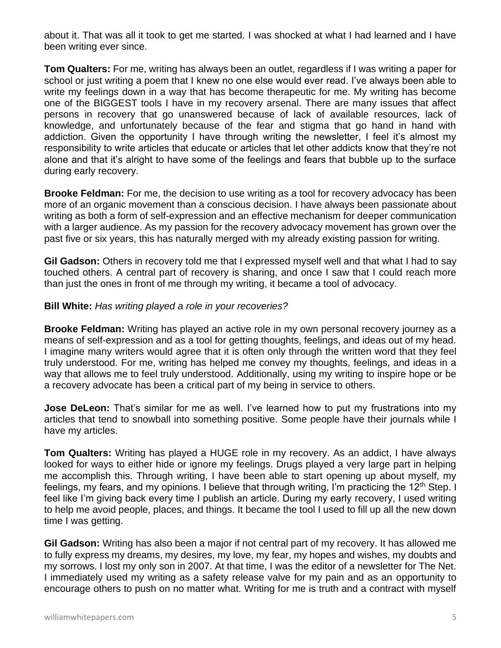about it. That was all it took to get me started. I was shocked at what I had learned and I have been writing ever since.

**Tom Qualters:** For me, writing has always been an outlet, regardless if I was writing a paper for school or just writing a poem that I knew no one else would ever read. I've always been able to write my feelings down in a way that has become therapeutic for me. My writing has become one of the BIGGEST tools I have in my recovery arsenal. There are many issues that affect persons in recovery that go unanswered because of lack of available resources, lack of knowledge, and unfortunately because of the fear and stigma that go hand in hand with addiction. Given the opportunity I have through writing the newsletter, I feel it's almost my responsibility to write articles that educate or articles that let other addicts know that they're not alone and that it's alright to have some of the feelings and fears that bubble up to the surface during early recovery.

**Brooke Feldman:** For me, the decision to use writing as a tool for recovery advocacy has been more of an organic movement than a conscious decision. I have always been passionate about writing as both a form of self-expression and an effective mechanism for deeper communication with a larger audience. As my passion for the recovery advocacy movement has grown over the past five or six years, this has naturally merged with my already existing passion for writing.

**Gil Gadson:** Others in recovery told me that I expressed myself well and that what I had to say touched others. A central part of recovery is sharing, and once I saw that I could reach more than just the ones in front of me through my writing, it became a tool of advocacy.

#### **Bill White:** *Has writing played a role in your recoveries?*

**Brooke Feldman:** Writing has played an active role in my own personal recovery journey as a means of self-expression and as a tool for getting thoughts, feelings, and ideas out of my head. I imagine many writers would agree that it is often only through the written word that they feel truly understood. For me, writing has helped me convey my thoughts, feelings, and ideas in a way that allows me to feel truly understood. Additionally, using my writing to inspire hope or be a recovery advocate has been a critical part of my being in service to others.

**Jose DeLeon:** That's similar for me as well. I've learned how to put my frustrations into my articles that tend to snowball into something positive. Some people have their journals while I have my articles.

**Tom Qualters:** Writing has played a HUGE role in my recovery. As an addict, I have always looked for ways to either hide or ignore my feelings. Drugs played a very large part in helping me accomplish this. Through writing, I have been able to start opening up about myself, my feelings, my fears, and my opinions. I believe that through writing, I'm practicing the 12<sup>th</sup> Step. I feel like I'm giving back every time I publish an article. During my early recovery, I used writing to help me avoid people, places, and things. It became the tool I used to fill up all the new down time I was getting.

**Gil Gadson:** Writing has also been a major if not central part of my recovery. It has allowed me to fully express my dreams, my desires, my love, my fear, my hopes and wishes, my doubts and my sorrows. I lost my only son in 2007. At that time, I was the editor of a newsletter for The Net. I immediately used my writing as a safety release valve for my pain and as an opportunity to encourage others to push on no matter what. Writing for me is truth and a contract with myself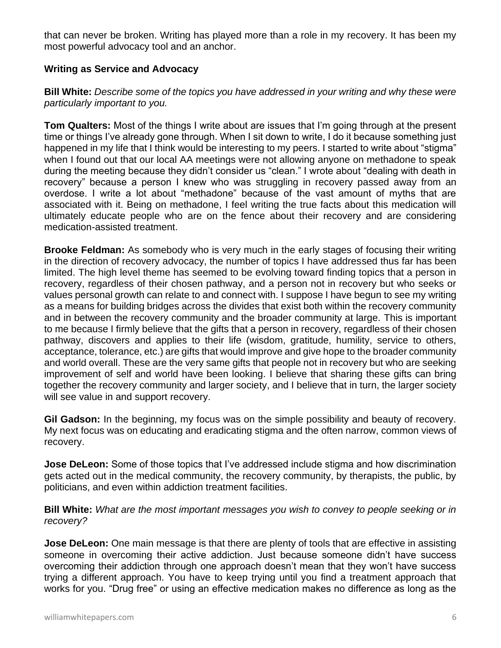that can never be broken. Writing has played more than a role in my recovery. It has been my most powerful advocacy tool and an anchor.

#### **Writing as Service and Advocacy**

#### **Bill White:** *Describe some of the topics you have addressed in your writing and why these were particularly important to you.*

**Tom Qualters:** Most of the things I write about are issues that I'm going through at the present time or things I've already gone through. When I sit down to write, I do it because something just happened in my life that I think would be interesting to my peers. I started to write about "stigma" when I found out that our local AA meetings were not allowing anyone on methadone to speak during the meeting because they didn't consider us "clean." I wrote about "dealing with death in recovery" because a person I knew who was struggling in recovery passed away from an overdose. I write a lot about "methadone" because of the vast amount of myths that are associated with it. Being on methadone, I feel writing the true facts about this medication will ultimately educate people who are on the fence about their recovery and are considering medication-assisted treatment.

**Brooke Feldman:** As somebody who is very much in the early stages of focusing their writing in the direction of recovery advocacy, the number of topics I have addressed thus far has been limited. The high level theme has seemed to be evolving toward finding topics that a person in recovery, regardless of their chosen pathway, and a person not in recovery but who seeks or values personal growth can relate to and connect with. I suppose I have begun to see my writing as a means for building bridges across the divides that exist both within the recovery community and in between the recovery community and the broader community at large. This is important to me because I firmly believe that the gifts that a person in recovery, regardless of their chosen pathway, discovers and applies to their life (wisdom, gratitude, humility, service to others, acceptance, tolerance, etc.) are gifts that would improve and give hope to the broader community and world overall. These are the very same gifts that people not in recovery but who are seeking improvement of self and world have been looking. I believe that sharing these gifts can bring together the recovery community and larger society, and I believe that in turn, the larger society will see value in and support recovery.

**Gil Gadson:** In the beginning, my focus was on the simple possibility and beauty of recovery. My next focus was on educating and eradicating stigma and the often narrow, common views of recovery.

**Jose DeLeon:** Some of those topics that I've addressed include stigma and how discrimination gets acted out in the medical community, the recovery community, by therapists, the public, by politicians, and even within addiction treatment facilities.

#### **Bill White:** *What are the most important messages you wish to convey to people seeking or in recovery?*

**Jose DeLeon:** One main message is that there are plenty of tools that are effective in assisting someone in overcoming their active addiction. Just because someone didn't have success overcoming their addiction through one approach doesn't mean that they won't have success trying a different approach. You have to keep trying until you find a treatment approach that works for you. "Drug free" or using an effective medication makes no difference as long as the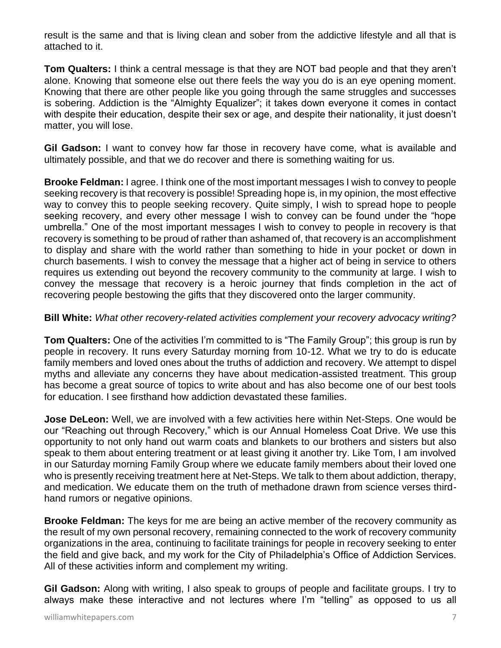result is the same and that is living clean and sober from the addictive lifestyle and all that is attached to it.

**Tom Qualters:** I think a central message is that they are NOT bad people and that they aren't alone. Knowing that someone else out there feels the way you do is an eye opening moment. Knowing that there are other people like you going through the same struggles and successes is sobering. Addiction is the "Almighty Equalizer"; it takes down everyone it comes in contact with despite their education, despite their sex or age, and despite their nationality, it just doesn't matter, you will lose.

**Gil Gadson:** I want to convey how far those in recovery have come, what is available and ultimately possible, and that we do recover and there is something waiting for us.

**Brooke Feldman:** I agree. I think one of the most important messages I wish to convey to people seeking recovery is that recovery is possible! Spreading hope is, in my opinion, the most effective way to convey this to people seeking recovery. Quite simply, I wish to spread hope to people seeking recovery, and every other message I wish to convey can be found under the "hope umbrella." One of the most important messages I wish to convey to people in recovery is that recovery is something to be proud of rather than ashamed of, that recovery is an accomplishment to display and share with the world rather than something to hide in your pocket or down in church basements. I wish to convey the message that a higher act of being in service to others requires us extending out beyond the recovery community to the community at large. I wish to convey the message that recovery is a heroic journey that finds completion in the act of recovering people bestowing the gifts that they discovered onto the larger community.

#### **Bill White:** *What other recovery-related activities complement your recovery advocacy writing?*

**Tom Qualters:** One of the activities I'm committed to is "The Family Group"; this group is run by people in recovery. It runs every Saturday morning from 10-12. What we try to do is educate family members and loved ones about the truths of addiction and recovery. We attempt to dispel myths and alleviate any concerns they have about medication-assisted treatment. This group has become a great source of topics to write about and has also become one of our best tools for education. I see firsthand how addiction devastated these families.

**Jose DeLeon:** Well, we are involved with a few activities here within Net-Steps. One would be our "Reaching out through Recovery," which is our Annual Homeless Coat Drive. We use this opportunity to not only hand out warm coats and blankets to our brothers and sisters but also speak to them about entering treatment or at least giving it another try. Like Tom, I am involved in our Saturday morning Family Group where we educate family members about their loved one who is presently receiving treatment here at Net-Steps. We talk to them about addiction, therapy, and medication. We educate them on the truth of methadone drawn from science verses thirdhand rumors or negative opinions.

**Brooke Feldman:** The keys for me are being an active member of the recovery community as the result of my own personal recovery, remaining connected to the work of recovery community organizations in the area, continuing to facilitate trainings for people in recovery seeking to enter the field and give back, and my work for the City of Philadelphia's Office of Addiction Services. All of these activities inform and complement my writing.

**Gil Gadson:** Along with writing, I also speak to groups of people and facilitate groups. I try to always make these interactive and not lectures where I'm "telling" as opposed to us all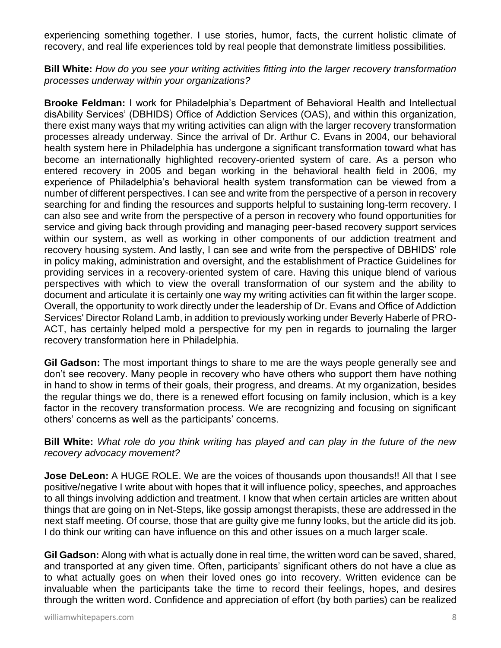experiencing something together. I use stories, humor, facts, the current holistic climate of recovery, and real life experiences told by real people that demonstrate limitless possibilities.

**Bill White:** *How do you see your writing activities fitting into the larger recovery transformation processes underway within your organizations?*

**Brooke Feldman:** I work for Philadelphia's Department of Behavioral Health and Intellectual disAbility Services' (DBHIDS) Office of Addiction Services (OAS), and within this organization, there exist many ways that my writing activities can align with the larger recovery transformation processes already underway. Since the arrival of Dr. Arthur C. Evans in 2004, our behavioral health system here in Philadelphia has undergone a significant transformation toward what has become an internationally highlighted recovery-oriented system of care. As a person who entered recovery in 2005 and began working in the behavioral health field in 2006, my experience of Philadelphia's behavioral health system transformation can be viewed from a number of different perspectives. I can see and write from the perspective of a person in recovery searching for and finding the resources and supports helpful to sustaining long-term recovery. I can also see and write from the perspective of a person in recovery who found opportunities for service and giving back through providing and managing peer-based recovery support services within our system, as well as working in other components of our addiction treatment and recovery housing system. And lastly, I can see and write from the perspective of DBHIDS' role in policy making, administration and oversight, and the establishment of Practice Guidelines for providing services in a recovery-oriented system of care. Having this unique blend of various perspectives with which to view the overall transformation of our system and the ability to document and articulate it is certainly one way my writing activities can fit within the larger scope. Overall, the opportunity to work directly under the leadership of Dr. Evans and Office of Addiction Services' Director Roland Lamb, in addition to previously working under Beverly Haberle of PRO-ACT, has certainly helped mold a perspective for my pen in regards to journaling the larger recovery transformation here in Philadelphia.

**Gil Gadson:** The most important things to share to me are the ways people generally see and don't see recovery. Many people in recovery who have others who support them have nothing in hand to show in terms of their goals, their progress, and dreams. At my organization, besides the regular things we do, there is a renewed effort focusing on family inclusion, which is a key factor in the recovery transformation process. We are recognizing and focusing on significant others' concerns as well as the participants' concerns.

**Bill White:** *What role do you think writing has played and can play in the future of the new recovery advocacy movement?*

**Jose DeLeon:** A HUGE ROLE. We are the voices of thousands upon thousands!! All that I see positive/negative I write about with hopes that it will influence policy, speeches, and approaches to all things involving addiction and treatment. I know that when certain articles are written about things that are going on in Net-Steps, like gossip amongst therapists, these are addressed in the next staff meeting. Of course, those that are guilty give me funny looks, but the article did its job. I do think our writing can have influence on this and other issues on a much larger scale.

**Gil Gadson:** Along with what is actually done in real time, the written word can be saved, shared, and transported at any given time. Often, participants' significant others do not have a clue as to what actually goes on when their loved ones go into recovery. Written evidence can be invaluable when the participants take the time to record their feelings, hopes, and desires through the written word. Confidence and appreciation of effort (by both parties) can be realized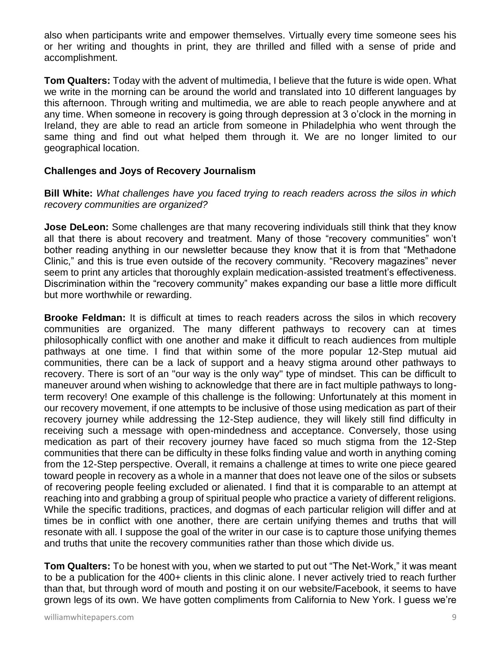also when participants write and empower themselves. Virtually every time someone sees his or her writing and thoughts in print, they are thrilled and filled with a sense of pride and accomplishment.

**Tom Qualters:** Today with the advent of multimedia, I believe that the future is wide open. What we write in the morning can be around the world and translated into 10 different languages by this afternoon. Through writing and multimedia, we are able to reach people anywhere and at any time. When someone in recovery is going through depression at 3 o'clock in the morning in Ireland, they are able to read an article from someone in Philadelphia who went through the same thing and find out what helped them through it. We are no longer limited to our geographical location.

#### **Challenges and Joys of Recovery Journalism**

**Bill White:** *What challenges have you faced trying to reach readers across the silos in which recovery communities are organized?*

**Jose DeLeon:** Some challenges are that many recovering individuals still think that they know all that there is about recovery and treatment. Many of those "recovery communities" won't bother reading anything in our newsletter because they know that it is from that "Methadone Clinic," and this is true even outside of the recovery community. "Recovery magazines" never seem to print any articles that thoroughly explain medication-assisted treatment's effectiveness. Discrimination within the "recovery community" makes expanding our base a little more difficult but more worthwhile or rewarding.

**Brooke Feldman:** It is difficult at times to reach readers across the silos in which recovery communities are organized. The many different pathways to recovery can at times philosophically conflict with one another and make it difficult to reach audiences from multiple pathways at one time. I find that within some of the more popular 12-Step mutual aid communities, there can be a lack of support and a heavy stigma around other pathways to recovery. There is sort of an "our way is the only way" type of mindset. This can be difficult to maneuver around when wishing to acknowledge that there are in fact multiple pathways to longterm recovery! One example of this challenge is the following: Unfortunately at this moment in our recovery movement, if one attempts to be inclusive of those using medication as part of their recovery journey while addressing the 12-Step audience, they will likely still find difficulty in receiving such a message with open-mindedness and acceptance. Conversely, those using medication as part of their recovery journey have faced so much stigma from the 12-Step communities that there can be difficulty in these folks finding value and worth in anything coming from the 12-Step perspective. Overall, it remains a challenge at times to write one piece geared toward people in recovery as a whole in a manner that does not leave one of the silos or subsets of recovering people feeling excluded or alienated. I find that it is comparable to an attempt at reaching into and grabbing a group of spiritual people who practice a variety of different religions. While the specific traditions, practices, and dogmas of each particular religion will differ and at times be in conflict with one another, there are certain unifying themes and truths that will resonate with all. I suppose the goal of the writer in our case is to capture those unifying themes and truths that unite the recovery communities rather than those which divide us.

**Tom Qualters:** To be honest with you, when we started to put out "The Net-Work," it was meant to be a publication for the 400+ clients in this clinic alone. I never actively tried to reach further than that, but through word of mouth and posting it on our website/Facebook, it seems to have grown legs of its own. We have gotten compliments from California to New York. I guess we're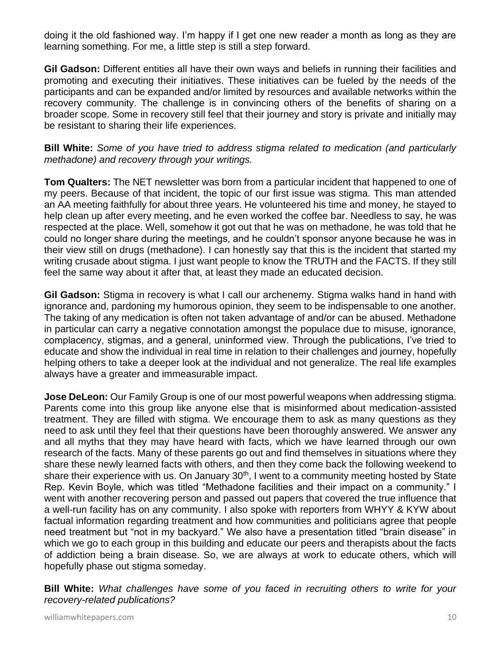doing it the old fashioned way. I'm happy if I get one new reader a month as long as they are learning something. For me, a little step is still a step forward.

**Gil Gadson:** Different entities all have their own ways and beliefs in running their facilities and promoting and executing their initiatives. These initiatives can be fueled by the needs of the participants and can be expanded and/or limited by resources and available networks within the recovery community. The challenge is in convincing others of the benefits of sharing on a broader scope. Some in recovery still feel that their journey and story is private and initially may be resistant to sharing their life experiences.

**Bill White:** *Some of you have tried to address stigma related to medication (and particularly methadone) and recovery through your writings.*

**Tom Qualters:** The NET newsletter was born from a particular incident that happened to one of my peers. Because of that incident, the topic of our first issue was stigma. This man attended an AA meeting faithfully for about three years. He volunteered his time and money, he stayed to help clean up after every meeting, and he even worked the coffee bar. Needless to say, he was respected at the place. Well, somehow it got out that he was on methadone, he was told that he could no longer share during the meetings, and he couldn't sponsor anyone because he was in their view still on drugs (methadone). I can honestly say that this is the incident that started my writing crusade about stigma. I just want people to know the TRUTH and the FACTS. If they still feel the same way about it after that, at least they made an educated decision.

**Gil Gadson:** Stigma in recovery is what I call our archenemy. Stigma walks hand in hand with ignorance and, pardoning my humorous opinion, they seem to be indispensable to one another. The taking of any medication is often not taken advantage of and/or can be abused. Methadone in particular can carry a negative connotation amongst the populace due to misuse, ignorance, complacency, stigmas, and a general, uninformed view. Through the publications, I've tried to educate and show the individual in real time in relation to their challenges and journey, hopefully helping others to take a deeper look at the individual and not generalize. The real life examples always have a greater and immeasurable impact.

**Jose DeLeon:** Our Family Group is one of our most powerful weapons when addressing stigma. Parents come into this group like anyone else that is misinformed about medication-assisted treatment. They are filled with stigma. We encourage them to ask as many questions as they need to ask until they feel that their questions have been thoroughly answered. We answer any and all myths that they may have heard with facts, which we have learned through our own research of the facts. Many of these parents go out and find themselves in situations where they share these newly learned facts with others, and then they come back the following weekend to share their experience with us. On January 30<sup>th</sup>, I went to a community meeting hosted by State Rep. Kevin Boyle, which was titled "Methadone facilities and their impact on a community." I went with another recovering person and passed out papers that covered the true influence that a well-run facility has on any community. I also spoke with reporters from WHYY & KYW about factual information regarding treatment and how communities and politicians agree that people need treatment but "not in my backyard." We also have a presentation titled "brain disease" in which we go to each group in this building and educate our peers and therapists about the facts of addiction being a brain disease. So, we are always at work to educate others, which will hopefully phase out stigma someday.

**Bill White:** *What challenges have some of you faced in recruiting others to write for your recovery-related publications?*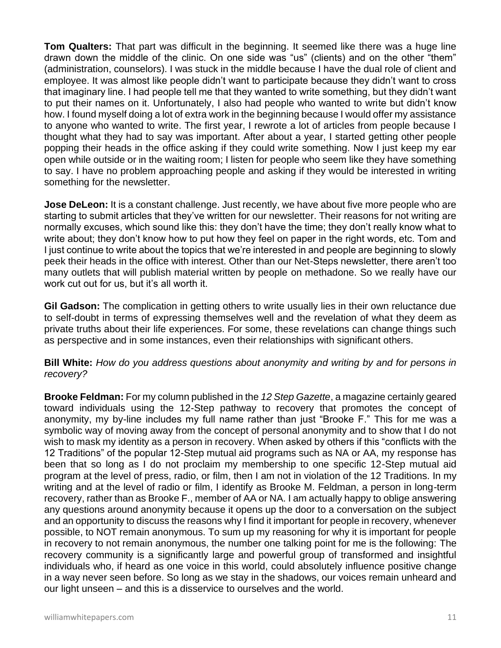**Tom Qualters:** That part was difficult in the beginning. It seemed like there was a huge line drawn down the middle of the clinic. On one side was "us" (clients) and on the other "them" (administration, counselors). I was stuck in the middle because I have the dual role of client and employee. It was almost like people didn't want to participate because they didn't want to cross that imaginary line. I had people tell me that they wanted to write something, but they didn't want to put their names on it. Unfortunately, I also had people who wanted to write but didn't know how. I found myself doing a lot of extra work in the beginning because I would offer my assistance to anyone who wanted to write. The first year, I rewrote a lot of articles from people because I thought what they had to say was important. After about a year, I started getting other people popping their heads in the office asking if they could write something. Now I just keep my ear open while outside or in the waiting room; I listen for people who seem like they have something to say. I have no problem approaching people and asking if they would be interested in writing something for the newsletter.

**Jose DeLeon:** It is a constant challenge. Just recently, we have about five more people who are starting to submit articles that they've written for our newsletter. Their reasons for not writing are normally excuses, which sound like this: they don't have the time; they don't really know what to write about; they don't know how to put how they feel on paper in the right words, etc. Tom and I just continue to write about the topics that we're interested in and people are beginning to slowly peek their heads in the office with interest. Other than our Net-Steps newsletter, there aren't too many outlets that will publish material written by people on methadone. So we really have our work cut out for us, but it's all worth it.

**Gil Gadson:** The complication in getting others to write usually lies in their own reluctance due to self-doubt in terms of expressing themselves well and the revelation of what they deem as private truths about their life experiences. For some, these revelations can change things such as perspective and in some instances, even their relationships with significant others.

**Bill White:** *How do you address questions about anonymity and writing by and for persons in recovery?*

**Brooke Feldman:** For my column published in the *12 Step Gazette*, a magazine certainly geared toward individuals using the 12-Step pathway to recovery that promotes the concept of anonymity, my by-line includes my full name rather than just "Brooke F." This for me was a symbolic way of moving away from the concept of personal anonymity and to show that I do not wish to mask my identity as a person in recovery. When asked by others if this "conflicts with the 12 Traditions" of the popular 12-Step mutual aid programs such as NA or AA, my response has been that so long as I do not proclaim my membership to one specific 12-Step mutual aid program at the level of press, radio, or film, then I am not in violation of the 12 Traditions. In my writing and at the level of radio or film, I identify as Brooke M. Feldman, a person in long-term recovery, rather than as Brooke F., member of AA or NA. I am actually happy to oblige answering any questions around anonymity because it opens up the door to a conversation on the subject and an opportunity to discuss the reasons why I find it important for people in recovery, whenever possible, to NOT remain anonymous. To sum up my reasoning for why it is important for people in recovery to not remain anonymous, the number one talking point for me is the following: The recovery community is a significantly large and powerful group of transformed and insightful individuals who, if heard as one voice in this world, could absolutely influence positive change in a way never seen before. So long as we stay in the shadows, our voices remain unheard and our light unseen – and this is a disservice to ourselves and the world.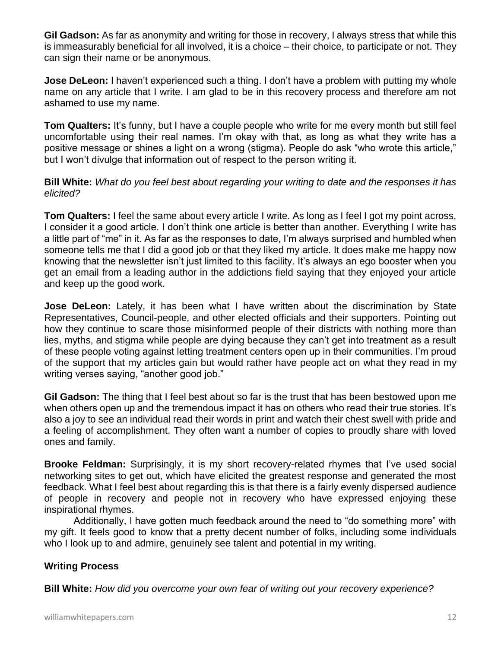**Gil Gadson:** As far as anonymity and writing for those in recovery, I always stress that while this is immeasurably beneficial for all involved, it is a choice – their choice, to participate or not. They can sign their name or be anonymous.

**Jose DeLeon:** I haven't experienced such a thing. I don't have a problem with putting my whole name on any article that I write. I am glad to be in this recovery process and therefore am not ashamed to use my name.

**Tom Qualters:** It's funny, but I have a couple people who write for me every month but still feel uncomfortable using their real names. I'm okay with that, as long as what they write has a positive message or shines a light on a wrong (stigma). People do ask "who wrote this article," but I won't divulge that information out of respect to the person writing it.

**Bill White:** *What do you feel best about regarding your writing to date and the responses it has elicited?*

**Tom Qualters:** I feel the same about every article I write. As long as I feel I got my point across, I consider it a good article. I don't think one article is better than another. Everything I write has a little part of "me" in it. As far as the responses to date, I'm always surprised and humbled when someone tells me that I did a good job or that they liked my article. It does make me happy now knowing that the newsletter isn't just limited to this facility. It's always an ego booster when you get an email from a leading author in the addictions field saying that they enjoyed your article and keep up the good work.

**Jose DeLeon:** Lately, it has been what I have written about the discrimination by State Representatives, Council-people, and other elected officials and their supporters. Pointing out how they continue to scare those misinformed people of their districts with nothing more than lies, myths, and stigma while people are dying because they can't get into treatment as a result of these people voting against letting treatment centers open up in their communities. I'm proud of the support that my articles gain but would rather have people act on what they read in my writing verses saying, "another good job."

**Gil Gadson:** The thing that I feel best about so far is the trust that has been bestowed upon me when others open up and the tremendous impact it has on others who read their true stories. It's also a joy to see an individual read their words in print and watch their chest swell with pride and a feeling of accomplishment. They often want a number of copies to proudly share with loved ones and family.

**Brooke Feldman:** Surprisingly, it is my short recovery-related rhymes that I've used social networking sites to get out, which have elicited the greatest response and generated the most feedback. What I feel best about regarding this is that there is a fairly evenly dispersed audience of people in recovery and people not in recovery who have expressed enjoying these inspirational rhymes.

Additionally, I have gotten much feedback around the need to "do something more" with my gift. It feels good to know that a pretty decent number of folks, including some individuals who I look up to and admire, genuinely see talent and potential in my writing.

## **Writing Process**

**Bill White:** *How did you overcome your own fear of writing out your recovery experience?*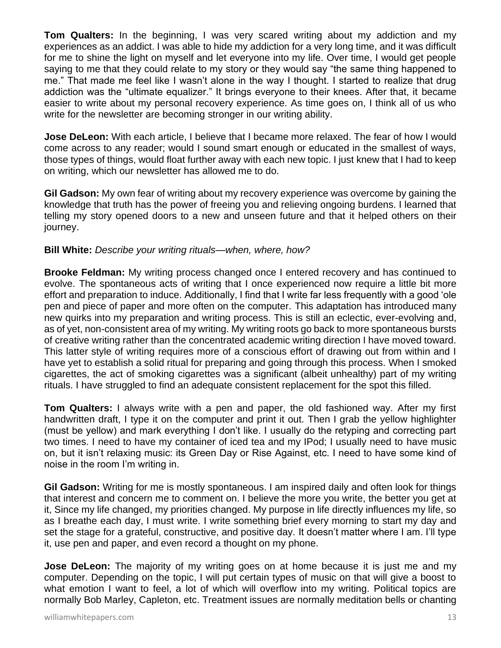**Tom Qualters:** In the beginning, I was very scared writing about my addiction and my experiences as an addict. I was able to hide my addiction for a very long time, and it was difficult for me to shine the light on myself and let everyone into my life. Over time, I would get people saying to me that they could relate to my story or they would say "the same thing happened to me." That made me feel like I wasn't alone in the way I thought. I started to realize that drug addiction was the "ultimate equalizer." It brings everyone to their knees. After that, it became easier to write about my personal recovery experience. As time goes on, I think all of us who write for the newsletter are becoming stronger in our writing ability.

**Jose DeLeon:** With each article, I believe that I became more relaxed. The fear of how I would come across to any reader; would I sound smart enough or educated in the smallest of ways, those types of things, would float further away with each new topic. I just knew that I had to keep on writing, which our newsletter has allowed me to do.

**Gil Gadson:** My own fear of writing about my recovery experience was overcome by gaining the knowledge that truth has the power of freeing you and relieving ongoing burdens. I learned that telling my story opened doors to a new and unseen future and that it helped others on their journey.

#### **Bill White:** *Describe your writing rituals—when, where, how?*

**Brooke Feldman:** My writing process changed once I entered recovery and has continued to evolve. The spontaneous acts of writing that I once experienced now require a little bit more effort and preparation to induce. Additionally, I find that I write far less frequently with a good 'ole pen and piece of paper and more often on the computer. This adaptation has introduced many new quirks into my preparation and writing process. This is still an eclectic, ever-evolving and, as of yet, non-consistent area of my writing. My writing roots go back to more spontaneous bursts of creative writing rather than the concentrated academic writing direction I have moved toward. This latter style of writing requires more of a conscious effort of drawing out from within and I have yet to establish a solid ritual for preparing and going through this process. When I smoked cigarettes, the act of smoking cigarettes was a significant (albeit unhealthy) part of my writing rituals. I have struggled to find an adequate consistent replacement for the spot this filled.

**Tom Qualters:** I always write with a pen and paper, the old fashioned way. After my first handwritten draft, I type it on the computer and print it out. Then I grab the yellow highlighter (must be yellow) and mark everything I don't like. I usually do the retyping and correcting part two times. I need to have my container of iced tea and my IPod; I usually need to have music on, but it isn't relaxing music: its Green Day or Rise Against, etc. I need to have some kind of noise in the room I'm writing in.

**Gil Gadson:** Writing for me is mostly spontaneous. I am inspired daily and often look for things that interest and concern me to comment on. I believe the more you write, the better you get at it, Since my life changed, my priorities changed. My purpose in life directly influences my life, so as I breathe each day, I must write. I write something brief every morning to start my day and set the stage for a grateful, constructive, and positive day. It doesn't matter where I am. I'll type it, use pen and paper, and even record a thought on my phone.

**Jose DeLeon:** The majority of my writing goes on at home because it is just me and my computer. Depending on the topic, I will put certain types of music on that will give a boost to what emotion I want to feel, a lot of which will overflow into my writing. Political topics are normally Bob Marley, Capleton, etc. Treatment issues are normally meditation bells or chanting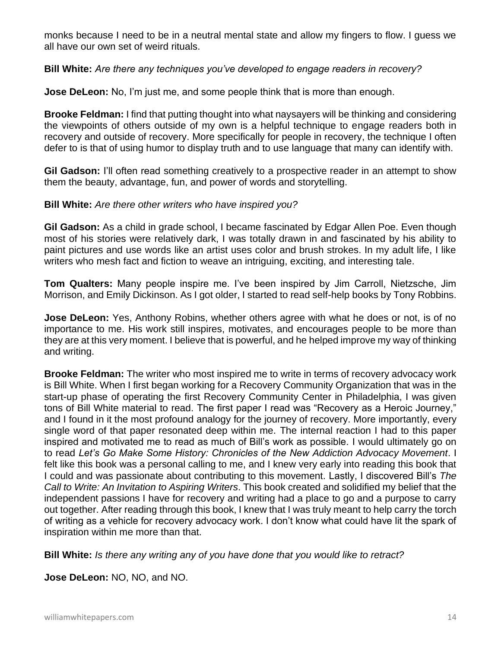monks because I need to be in a neutral mental state and allow my fingers to flow. I guess we all have our own set of weird rituals.

**Bill White:** *Are there any techniques you've developed to engage readers in recovery?*

**Jose DeLeon:** No, I'm just me, and some people think that is more than enough.

**Brooke Feldman:** I find that putting thought into what naysayers will be thinking and considering the viewpoints of others outside of my own is a helpful technique to engage readers both in recovery and outside of recovery. More specifically for people in recovery, the technique I often defer to is that of using humor to display truth and to use language that many can identify with.

**Gil Gadson:** I'll often read something creatively to a prospective reader in an attempt to show them the beauty, advantage, fun, and power of words and storytelling.

#### **Bill White:** *Are there other writers who have inspired you?*

**Gil Gadson:** As a child in grade school, I became fascinated by Edgar Allen Poe. Even though most of his stories were relatively dark, I was totally drawn in and fascinated by his ability to paint pictures and use words like an artist uses color and brush strokes. In my adult life, I like writers who mesh fact and fiction to weave an intriguing, exciting, and interesting tale.

**Tom Qualters:** Many people inspire me. I've been inspired by Jim Carroll, Nietzsche, Jim Morrison, and Emily Dickinson. As I got older, I started to read self-help books by Tony Robbins.

**Jose DeLeon:** Yes, Anthony Robins, whether others agree with what he does or not, is of no importance to me. His work still inspires, motivates, and encourages people to be more than they are at this very moment. I believe that is powerful, and he helped improve my way of thinking and writing.

**Brooke Feldman:** The writer who most inspired me to write in terms of recovery advocacy work is Bill White. When I first began working for a Recovery Community Organization that was in the start-up phase of operating the first Recovery Community Center in Philadelphia, I was given tons of Bill White material to read. The first paper I read was "Recovery as a Heroic Journey," and I found in it the most profound analogy for the journey of recovery. More importantly, every single word of that paper resonated deep within me. The internal reaction I had to this paper inspired and motivated me to read as much of Bill's work as possible. I would ultimately go on to read *Let's Go Make Some History: Chronicles of the New Addiction Advocacy Movement*. I felt like this book was a personal calling to me, and I knew very early into reading this book that I could and was passionate about contributing to this movement. Lastly, I discovered Bill's *The Call to Write: An Invitation to Aspiring Writers*. This book created and solidified my belief that the independent passions I have for recovery and writing had a place to go and a purpose to carry out together. After reading through this book, I knew that I was truly meant to help carry the torch of writing as a vehicle for recovery advocacy work. I don't know what could have lit the spark of inspiration within me more than that.

**Bill White:** *Is there any writing any of you have done that you would like to retract?*

**Jose DeLeon:** NO, NO, and NO.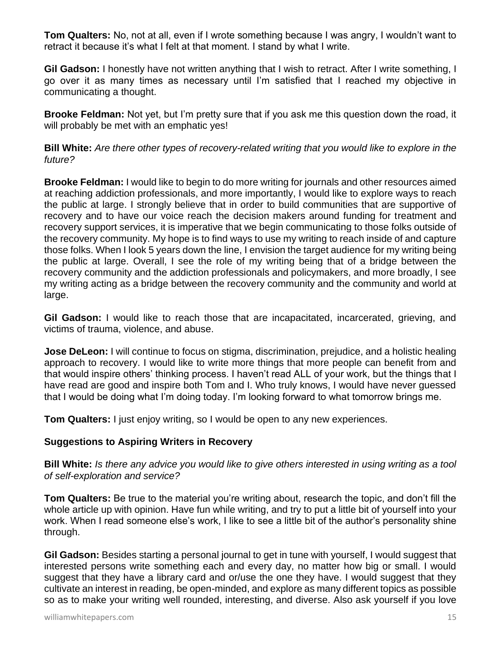**Tom Qualters:** No, not at all, even if I wrote something because I was angry, I wouldn't want to retract it because it's what I felt at that moment. I stand by what I write.

**Gil Gadson:** I honestly have not written anything that I wish to retract. After I write something, I go over it as many times as necessary until I'm satisfied that I reached my objective in communicating a thought.

**Brooke Feldman:** Not yet, but I'm pretty sure that if you ask me this question down the road, it will probably be met with an emphatic yes!

**Bill White:** *Are there other types of recovery-related writing that you would like to explore in the future?*

**Brooke Feldman:** I would like to begin to do more writing for journals and other resources aimed at reaching addiction professionals, and more importantly, I would like to explore ways to reach the public at large. I strongly believe that in order to build communities that are supportive of recovery and to have our voice reach the decision makers around funding for treatment and recovery support services, it is imperative that we begin communicating to those folks outside of the recovery community. My hope is to find ways to use my writing to reach inside of and capture those folks. When I look 5 years down the line, I envision the target audience for my writing being the public at large. Overall, I see the role of my writing being that of a bridge between the recovery community and the addiction professionals and policymakers, and more broadly, I see my writing acting as a bridge between the recovery community and the community and world at large.

**Gil Gadson:** I would like to reach those that are incapacitated, incarcerated, grieving, and victims of trauma, violence, and abuse.

**Jose DeLeon:** I will continue to focus on stigma, discrimination, prejudice, and a holistic healing approach to recovery. I would like to write more things that more people can benefit from and that would inspire others' thinking process. I haven't read ALL of your work, but the things that I have read are good and inspire both Tom and I. Who truly knows, I would have never guessed that I would be doing what I'm doing today. I'm looking forward to what tomorrow brings me.

**Tom Qualters:** I just enjoy writing, so I would be open to any new experiences.

#### **Suggestions to Aspiring Writers in Recovery**

**Bill White:** *Is there any advice you would like to give others interested in using writing as a tool of self-exploration and service?*

**Tom Qualters:** Be true to the material you're writing about, research the topic, and don't fill the whole article up with opinion. Have fun while writing, and try to put a little bit of yourself into your work. When I read someone else's work, I like to see a little bit of the author's personality shine through.

**Gil Gadson:** Besides starting a personal journal to get in tune with yourself, I would suggest that interested persons write something each and every day, no matter how big or small. I would suggest that they have a library card and or/use the one they have. I would suggest that they cultivate an interest in reading, be open-minded, and explore as many different topics as possible so as to make your writing well rounded, interesting, and diverse. Also ask yourself if you love